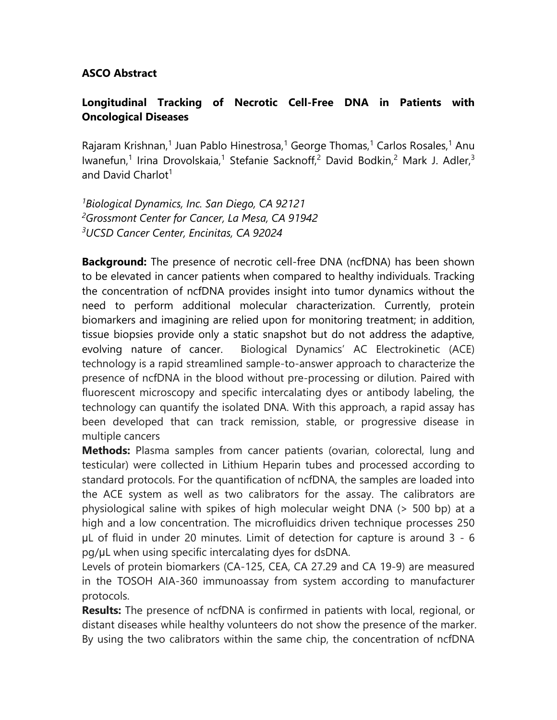## **ASCO Abstract**

## **Longitudinal Tracking of Necrotic Cell-Free DNA in Patients with Oncological Diseases**

Rajaram Krishnan,<sup>1</sup> Juan Pablo Hinestrosa,<sup>1</sup> George Thomas,<sup>1</sup> Carlos Rosales,<sup>1</sup> Anu Iwanefun,<sup>1</sup> Irina Drovolskaia,<sup>1</sup> Stefanie Sacknoff,<sup>2</sup> David Bodkin,<sup>2</sup> Mark J. Adler,<sup>3</sup> and David Charlot $1$ 

*<sup>1</sup>Biological Dynamics, Inc. San Diego, CA 92121 <sup>2</sup>Grossmont Center for Cancer, La Mesa, CA 91942 <sup>3</sup>UCSD Cancer Center, Encinitas, CA 92024*

**Background:** The presence of necrotic cell-free DNA (ncfDNA) has been shown to be elevated in cancer patients when compared to healthy individuals. Tracking the concentration of ncfDNA provides insight into tumor dynamics without the need to perform additional molecular characterization. Currently, protein biomarkers and imagining are relied upon for monitoring treatment; in addition, tissue biopsies provide only a static snapshot but do not address the adaptive, evolving nature of cancer. Biological Dynamics' AC Electrokinetic (ACE) technology is a rapid streamlined sample-to-answer approach to characterize the presence of ncfDNA in the blood without pre-processing or dilution. Paired with fluorescent microscopy and specific intercalating dyes or antibody labeling, the technology can quantify the isolated DNA. With this approach, a rapid assay has been developed that can track remission, stable, or progressive disease in multiple cancers

**Methods:** Plasma samples from cancer patients (ovarian, colorectal, lung and testicular) were collected in Lithium Heparin tubes and processed according to standard protocols. For the quantification of ncfDNA, the samples are loaded into the ACE system as well as two calibrators for the assay. The calibrators are physiological saline with spikes of high molecular weight DNA (> 500 bp) at a high and a low concentration. The microfluidics driven technique processes 250 μL of fluid in under 20 minutes. Limit of detection for capture is around 3 - 6 pg/μL when using specific intercalating dyes for dsDNA.

Levels of protein biomarkers (CA-125, CEA, CA 27.29 and CA 19-9) are measured in the TOSOH AIA-360 immunoassay from system according to manufacturer protocols.

**Results:** The presence of ncfDNA is confirmed in patients with local, regional, or distant diseases while healthy volunteers do not show the presence of the marker. By using the two calibrators within the same chip, the concentration of ncfDNA